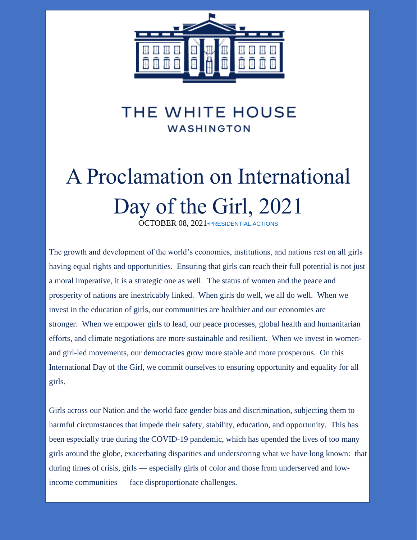

# A Proclamation on International Day of the Girl, 2021

OCTOBER 08, 2021[•PRESIDENTIAL ACTIONS](https://www.whitehouse.gov/briefing-room/presidential-actions/)

The growth and development of the world's economies, institutions, and nations rest on all girls having equal rights and opportunities. Ensuring that girls can reach their full potential is not just a moral imperative, it is a strategic one as well. The status of women and the peace and prosperity of nations are inextricably linked. When girls do well, we all do well. When we invest in the education of girls, our communities are healthier and our economies are stronger. When we empower girls to lead, our peace processes, global health and humanitarian efforts, and climate negotiations are more sustainable and resilient. When we invest in womenand girl-led movements, our democracies grow more stable and more prosperous. On this International Day of the Girl, we commit ourselves to ensuring opportunity and equality for all girls.

Girls across our Nation and the world face gender bias and discrimination, subjecting them to harmful circumstances that impede their safety, stability, education, and opportunity. This has been especially true during the COVID-19 pandemic, which has upended the lives of too many girls around the globe, exacerbating disparities and underscoring what we have long known: that during times of crisis, girls — especially girls of color and those from underserved and lowincome communities — face disproportionate challenges.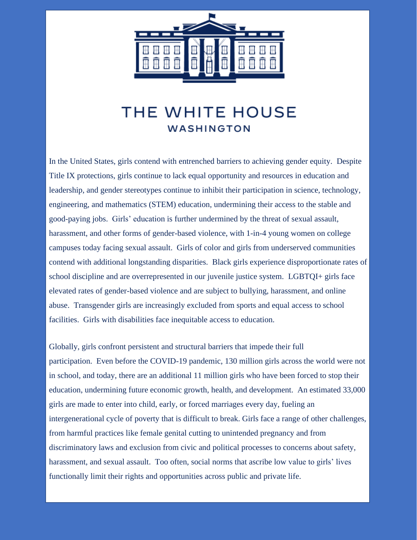

In the United States, girls contend with entrenched barriers to achieving gender equity. Despite Title IX protections, girls continue to lack equal opportunity and resources in education and leadership, and gender stereotypes continue to inhibit their participation in science, technology, engineering, and mathematics (STEM) education, undermining their access to the stable and good-paying jobs. Girls' education is further undermined by the threat of sexual assault, harassment, and other forms of gender-based violence, with 1-in-4 young women on college campuses today facing sexual assault. Girls of color and girls from underserved communities contend with additional longstanding disparities. Black girls experience disproportionate rates of school discipline and are overrepresented in our juvenile justice system. LGBTQI+ girls face elevated rates of gender-based violence and are subject to bullying, harassment, and online abuse. Transgender girls are increasingly excluded from sports and equal access to school facilities. Girls with disabilities face inequitable access to education.

Globally, girls confront persistent and structural barriers that impede their full participation. Even before the COVID-19 pandemic, 130 million girls across the world were not in school, and today, there are an additional 11 million girls who have been forced to stop their education, undermining future economic growth, health, and development. An estimated 33,000 girls are made to enter into child, early, or forced marriages every day, fueling an intergenerational cycle of poverty that is difficult to break. Girls face a range of other challenges, from harmful practices like female genital cutting to unintended pregnancy and from discriminatory laws and exclusion from civic and political processes to concerns about safety, harassment, and sexual assault. Too often, social norms that ascribe low value to girls' lives functionally limit their rights and opportunities across public and private life.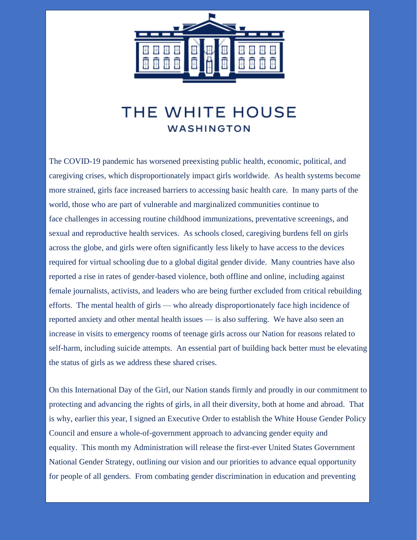

The COVID-19 pandemic has worsened preexisting public health, economic, political, and caregiving crises, which disproportionately impact girls worldwide. As health systems become more strained, girls face increased barriers to accessing basic health care. In many parts of the world, those who are part of vulnerable and marginalized communities continue to face challenges in accessing routine childhood immunizations, preventative screenings, and sexual and reproductive health services. As schools closed, caregiving burdens fell on girls across the globe, and girls were often significantly less likely to have access to the devices required for virtual schooling due to a global digital gender divide. Many countries have also reported a rise in rates of gender-based violence, both offline and online, including against female journalists, activists, and leaders who are being further excluded from critical rebuilding efforts. The mental health of girls — who already disproportionately face high incidence of reported anxiety and other mental health issues — is also suffering. We have also seen an increase in visits to emergency rooms of teenage girls across our Nation for reasons related to self-harm, including suicide attempts. An essential part of building back better must be elevating the status of girls as we address these shared crises.

On this International Day of the Girl, our Nation stands firmly and proudly in our commitment to protecting and advancing the rights of girls, in all their diversity, both at home and abroad. That is why, earlier this year, I signed an Executive Order to establish the White House Gender Policy Council and ensure a whole-of-government approach to advancing gender equity and equality. This month my Administration will release the first-ever United States Government National Gender Strategy, outlining our vision and our priorities to advance equal opportunity for people of all genders. From combating gender discrimination in education and preventing